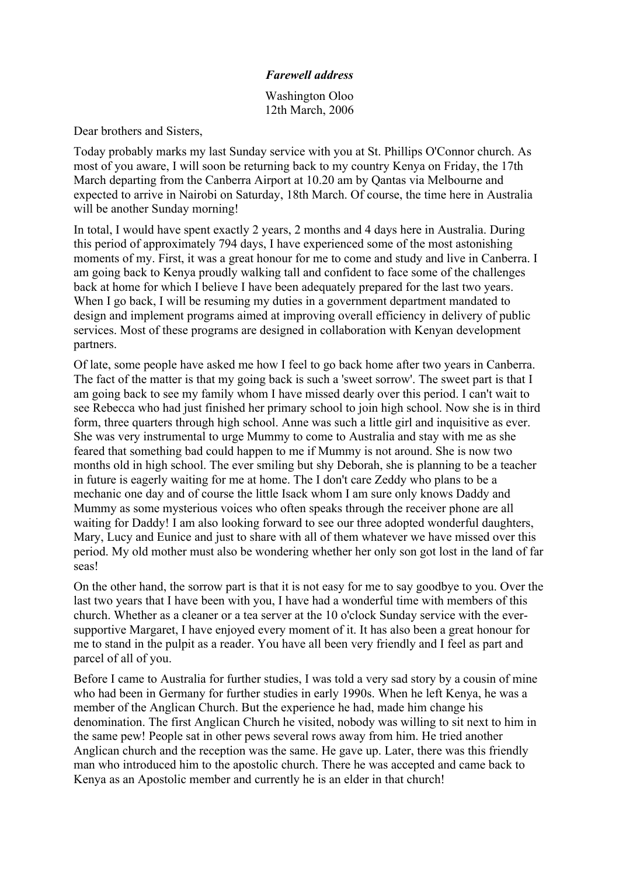## *Farewell address*

Washington Oloo 12th March, 2006

Dear brothers and Sisters,

Today probably marks my last Sunday service with you at St. Phillips O'Connor church. As most of you aware, I will soon be returning back to my country Kenya on Friday, the 17th March departing from the Canberra Airport at 10.20 am by Qantas via Melbourne and expected to arrive in Nairobi on Saturday, 18th March. Of course, the time here in Australia will be another Sunday morning!

In total, I would have spent exactly 2 years, 2 months and 4 days here in Australia. During this period of approximately 794 days, I have experienced some of the most astonishing moments of my. First, it was a great honour for me to come and study and live in Canberra. I am going back to Kenya proudly walking tall and confident to face some of the challenges back at home for which I believe I have been adequately prepared for the last two years. When I go back, I will be resuming my duties in a government department mandated to design and implement programs aimed at improving overall efficiency in delivery of public services. Most of these programs are designed in collaboration with Kenyan development partners.

Of late, some people have asked me how I feel to go back home after two years in Canberra. The fact of the matter is that my going back is such a 'sweet sorrow'. The sweet part is that I am going back to see my family whom I have missed dearly over this period. I can't wait to see Rebecca who had just finished her primary school to join high school. Now she is in third form, three quarters through high school. Anne was such a little girl and inquisitive as ever. She was very instrumental to urge Mummy to come to Australia and stay with me as she feared that something bad could happen to me if Mummy is not around. She is now two months old in high school. The ever smiling but shy Deborah, she is planning to be a teacher in future is eagerly waiting for me at home. The I don't care Zeddy who plans to be a mechanic one day and of course the little Isack whom I am sure only knows Daddy and Mummy as some mysterious voices who often speaks through the receiver phone are all waiting for Daddy! I am also looking forward to see our three adopted wonderful daughters, Mary, Lucy and Eunice and just to share with all of them whatever we have missed over this period. My old mother must also be wondering whether her only son got lost in the land of far seas!

On the other hand, the sorrow part is that it is not easy for me to say goodbye to you. Over the last two years that I have been with you, I have had a wonderful time with members of this church. Whether as a cleaner or a tea server at the 10 o'clock Sunday service with the eversupportive Margaret, I have enjoyed every moment of it. It has also been a great honour for me to stand in the pulpit as a reader. You have all been very friendly and I feel as part and parcel of all of you.

Before I came to Australia for further studies, I was told a very sad story by a cousin of mine who had been in Germany for further studies in early 1990s. When he left Kenya, he was a member of the Anglican Church. But the experience he had, made him change his denomination. The first Anglican Church he visited, nobody was willing to sit next to him in the same pew! People sat in other pews several rows away from him. He tried another Anglican church and the reception was the same. He gave up. Later, there was this friendly man who introduced him to the apostolic church. There he was accepted and came back to Kenya as an Apostolic member and currently he is an elder in that church!